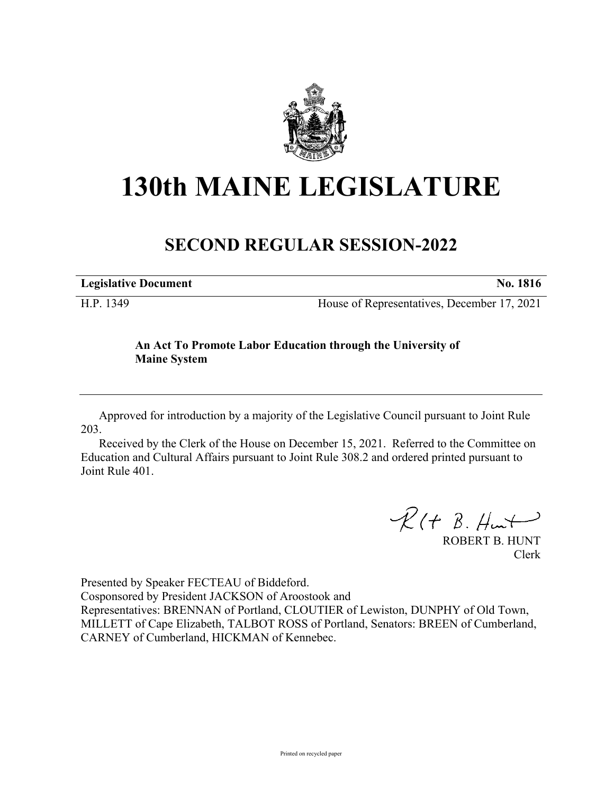

# **130th MAINE LEGISLATURE**

## **SECOND REGULAR SESSION-2022**

| <b>Legislative Document</b> |    |     |                          | <b>No. 1816</b> |
|-----------------------------|----|-----|--------------------------|-----------------|
| ___ _                       | __ | $-$ | $\overline{\phantom{a}}$ | .               |

H.P. 1349 House of Representatives, December 17, 2021

### **An Act To Promote Labor Education through the University of Maine System**

Approved for introduction by a majority of the Legislative Council pursuant to Joint Rule 203.

Received by the Clerk of the House on December 15, 2021. Referred to the Committee on Education and Cultural Affairs pursuant to Joint Rule 308.2 and ordered printed pursuant to Joint Rule 401.

 $R$ (†  $B.$  Hunt

ROBERT B. HUNT Clerk

Presented by Speaker FECTEAU of Biddeford.

Cosponsored by President JACKSON of Aroostook and

Representatives: BRENNAN of Portland, CLOUTIER of Lewiston, DUNPHY of Old Town, MILLETT of Cape Elizabeth, TALBOT ROSS of Portland, Senators: BREEN of Cumberland, CARNEY of Cumberland, HICKMAN of Kennebec.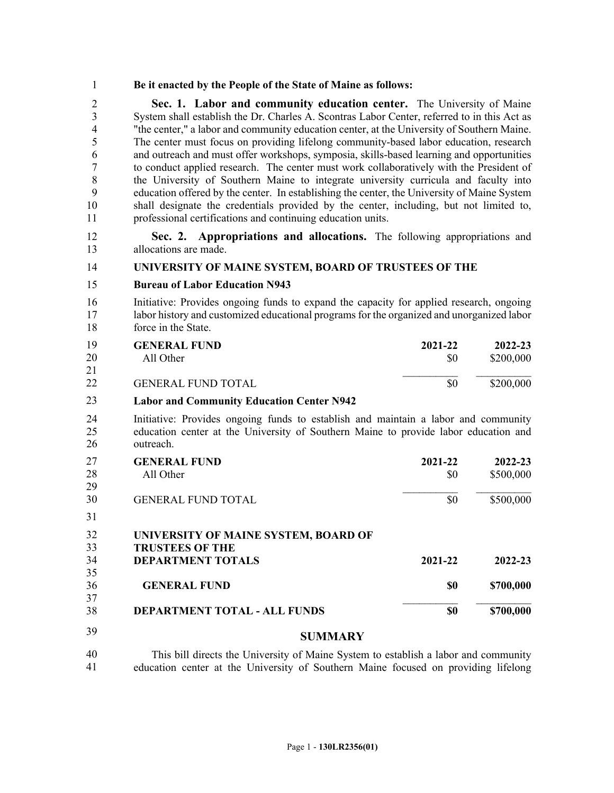#### 1 **Be it enacted by the People of the State of Maine as follows:**

2 **Sec. 1. Labor and community education center.** The University of Maine 3 System shall establish the Dr. Charles A. Scontras Labor Center, referred to in this Act as 4 "the center," a labor and community education center, at the University of Southern Maine. 5 The center must focus on providing lifelong community-based labor education, research 6 and outreach and must offer workshops, symposia, skills-based learning and opportunities 7 to conduct applied research. The center must work collaboratively with the President of 8 the University of Southern Maine to integrate university curricula and faculty into 9 education offered by the center. In establishing the center, the University of Maine System 10 shall designate the credentials provided by the center, including, but not limited to, 11 professional certifications and continuing education units.

12 **Sec. 2. Appropriations and allocations.** The following appropriations and 13 allocations are made.

#### 14 **UNIVERSITY OF MAINE SYSTEM, BOARD OF TRUSTEES OF THE**

#### 15 **Bureau of Labor Education N943**

16 Initiative: Provides ongoing funds to expand the capacity for applied research, ongoing 17 labor history and customized educational programs for the organized and unorganized labor 18 force in the State.

| 19 | <b>GENERAL FUND</b>       | 2021-22 | 2022-23   |
|----|---------------------------|---------|-----------|
| 20 | All Other                 | S0      | \$200,000 |
| 21 |                           |         |           |
| 22 | <b>GENERAL FUND TOTAL</b> | \$0     | \$200,000 |

#### **Labor and Community Education Center N942** 23

24 Initiative: Provides ongoing funds to establish and maintain a labor and community 25 education center at the University of Southern Maine to provide labor education and 26 outreach.

| 27 | <b>GENERAL FUND</b>       | 2021-22 | 2022-23   |
|----|---------------------------|---------|-----------|
| 28 | All Other                 | \$0     | \$500,000 |
| 29 |                           |         |           |
| 30 | <b>GENERAL FUND TOTAL</b> |         | \$500,000 |

30

27 31

| 32 | UNIVERSITY OF MAINE SYSTEM, BOARD OF    |         |           |
|----|-----------------------------------------|---------|-----------|
| 33 | <b>TRUSTEES OF THE</b>                  |         |           |
| 34 | <b>DEPARTMENT TOTALS</b>                | 2021-22 | 2022-23   |
| 35 |                                         |         |           |
| 36 | <b>GENERAL FUND</b>                     | \$0     | \$700,000 |
| 37 |                                         |         |           |
| 38 | <b>DEPARTMENT TOTAL - ALL FUNDS</b>     | \$0     | \$700,000 |
| 39 | $C$ in an $\mathbf{I}$ and $\mathbf{I}$ |         |           |

#### 32 **SUMMARY**

This bill directs the University of Maine System to establish a labor and community 34 education center at the University of Southern Maine focused on providing lifelong 40 41